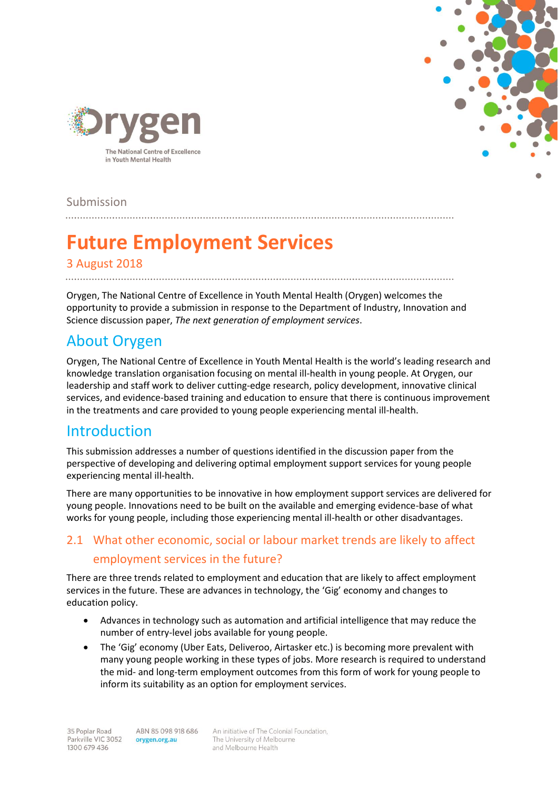



Submission

# **Future Employment Services**

#### 3 August 2018

Orygen, The National Centre of Excellence in Youth Mental Health (Orygen) welcomes the opportunity to provide a submission in response to the Department of Industry, Innovation and Science discussion paper, *The next generation of employment services*.

# About Orygen

Orygen, The National Centre of Excellence in Youth Mental Health is the world's leading research and knowledge translation organisation focusing on mental ill-health in young people. At Orygen, our leadership and staff work to deliver cutting-edge research, policy development, innovative clinical services, and evidence-based training and education to ensure that there is continuous improvement in the treatments and care provided to young people experiencing mental ill-health.

### Introduction

This submission addresses a number of questions identified in the discussion paper from the perspective of developing and delivering optimal employment support services for young people experiencing mental ill-health.

There are many opportunities to be innovative in how employment support services are delivered for young people. Innovations need to be built on the available and emerging evidence-base of what works for young people, including those experiencing mental ill-health or other disadvantages.

#### 2.1 What other economic, social or labour market trends are likely to affect employment services in the future?

There are three trends related to employment and education that are likely to affect employment services in the future. These are advances in technology, the 'Gig' economy and changes to education policy.

- Advances in technology such as automation and artificial intelligence that may reduce the number of entry-level jobs available for young people.
- The 'Gig' economy (Uber Eats, Deliveroo, Airtasker etc.) is becoming more prevalent with many young people working in these types of jobs. More research is required to understand the mid- and long-term employment outcomes from this form of work for young people to inform its suitability as an option for employment services.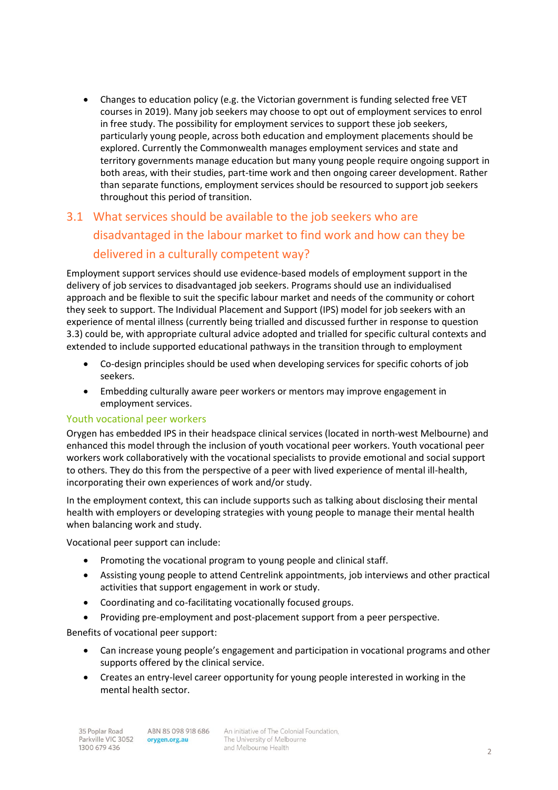Changes to education policy (e.g. the Victorian government is funding selected free VET courses in 2019). Many job seekers may choose to opt out of employment services to enrol in free study. The possibility for employment services to support these job seekers, particularly young people, across both education and employment placements should be explored. Currently the Commonwealth manages employment services and state and territory governments manage education but many young people require ongoing support in both areas, with their studies, part-time work and then ongoing career development. Rather than separate functions, employment services should be resourced to support job seekers throughout this period of transition.

# 3.1 What services should be available to the job seekers who are disadvantaged in the labour market to find work and how can they be delivered in a culturally competent way?

Employment support services should use evidence-based models of employment support in the delivery of job services to disadvantaged job seekers. Programs should use an individualised approach and be flexible to suit the specific labour market and needs of the community or cohort they seek to support. The Individual Placement and Support (IPS) model for job seekers with an experience of mental illness (currently being trialled and discussed further in response to question 3.3) could be, with appropriate cultural advice adopted and trialled for specific cultural contexts and extended to include supported educational pathways in the transition through to employment

- Co-design principles should be used when developing services for specific cohorts of job seekers.
- Embedding culturally aware peer workers or mentors may improve engagement in employment services.

#### Youth vocational peer workers

Orygen has embedded IPS in their headspace clinical services (located in north-west Melbourne) and enhanced this model through the inclusion of youth vocational peer workers. Youth vocational peer workers work collaboratively with the vocational specialists to provide emotional and social support to others. They do this from the perspective of a peer with lived experience of mental ill-health, incorporating their own experiences of work and/or study.

In the employment context, this can include supports such as talking about disclosing their mental health with employers or developing strategies with young people to manage their mental health when balancing work and study.

Vocational peer support can include:

- Promoting the vocational program to young people and clinical staff.
- Assisting young people to attend Centrelink appointments, job interviews and other practical activities that support engagement in work or study.
- Coordinating and co-facilitating vocationally focused groups.
- Providing pre-employment and post-placement support from a peer perspective.

Benefits of vocational peer support:

- Can increase young people's engagement and participation in vocational programs and other supports offered by the clinical service.
- Creates an entry-level career opportunity for young people interested in working in the mental health sector.

An initiative of The Colonial Foundation, The University of Melbourne and Melbourne Health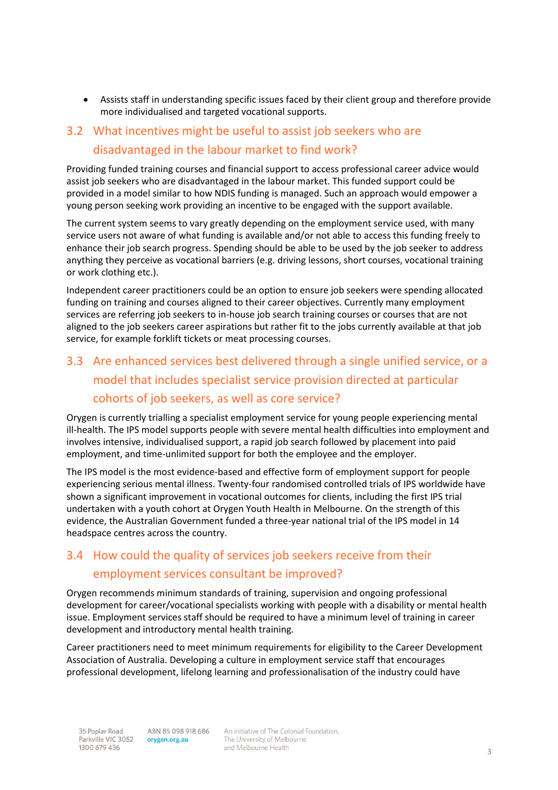Assists staff in understanding specific issues faced by their client group and therefore provide more individualised and targeted vocational supports.

# 3.2 What incentives might be useful to assist job seekers who are disadvantaged in the labour market to find work?

Providing funded training courses and financial support to access professional career advice would assist job seekers who are disadvantaged in the labour market. This funded support could be provided in a model similar to how NDIS funding is managed. Such an approach would empower a young person seeking work providing an incentive to be engaged with the support available.

The current system seems to vary greatly depending on the employment service used, with many service users not aware of what funding is available and/or not able to access this funding freely to enhance their job search progress. Spending should be able to be used by the job seeker to address anything they perceive as vocational barriers (e.g. driving lessons, short courses, vocational training or work clothing etc.).

Independent career practitioners could be an option to ensure job seekers were spending allocated funding on training and courses aligned to their career objectives. Currently many employment services are referring job seekers to in-house job search training courses or courses that are not aligned to the job seekers career aspirations but rather fit to the jobs currently available at that job service, for example forklift tickets or meat processing courses.

# 3.3 Are enhanced services best delivered through a single unified service, or a model that includes specialist service provision directed at particular cohorts of job seekers, as well as core service?

Orygen is currently trialling a specialist employment service for young people experiencing mental ill-health. The IPS model supports people with severe mental health difficulties into employment and involves intensive, individualised support, a rapid job search followed by placement into paid employment, and time-unlimited support for both the employee and the employer.

The IPS model is the most evidence-based and effective form of employment support for people experiencing serious mental illness. Twenty-four randomised controlled trials of IPS worldwide have shown a significant improvement in vocational outcomes for clients, including the first IPS trial undertaken with a youth cohort at Orygen Youth Health in Melbourne. On the strength of this evidence, the Australian Government funded a three-year national trial of the IPS model in 14 headspace centres across the country.

### 3.4 How could the quality of services job seekers receive from their employment services consultant be improved?

Orygen recommends minimum standards of training, supervision and ongoing professional development for career/vocational specialists working with people with a disability or mental health issue. Employment services staff should be required to have a minimum level of training in career development and introductory mental health training.

Career practitioners need to meet minimum requirements for eligibility to the Career Development Association of Australia. Developing a culture in employment service staff that encourages professional development, lifelong learning and professionalisation of the industry could have

An initiative of The Colonial Foundation, The University of Melbourne and Melbourne Health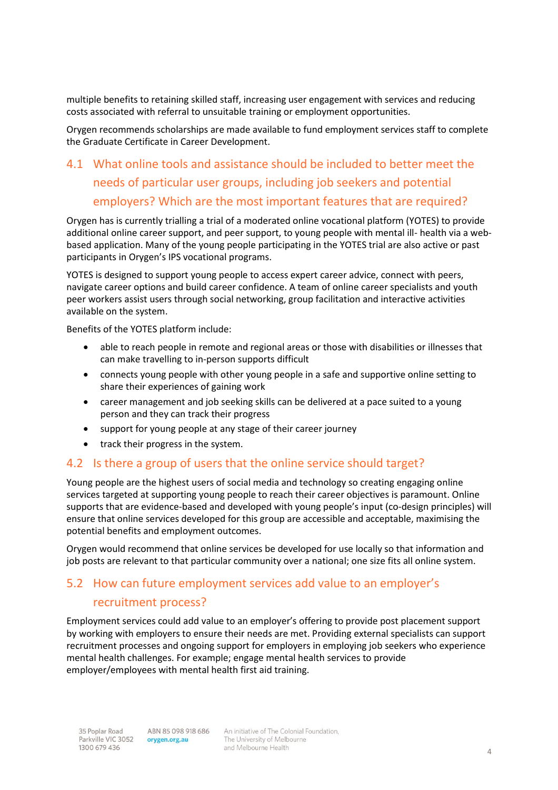multiple benefits to retaining skilled staff, increasing user engagement with services and reducing costs associated with referral to unsuitable training or employment opportunities.

Orygen recommends scholarships are made available to fund employment services staff to complete the Graduate Certificate in Career Development.

## 4.1 What online tools and assistance should be included to better meet the needs of particular user groups, including job seekers and potential employers? Which are the most important features that are required?

Orygen has is currently trialling a trial of a moderated online vocational platform (YOTES) to provide additional online career support, and peer support, to young people with mental ill- health via a webbased application. Many of the young people participating in the YOTES trial are also active or past participants in Orygen's IPS vocational programs.

YOTES is designed to support young people to access expert career advice, connect with peers, navigate career options and build career confidence. A team of online career specialists and youth peer workers assist users through social networking, group facilitation and interactive activities available on the system.

Benefits of the YOTES platform include:

- able to reach people in remote and regional areas or those with disabilities or illnesses that can make travelling to in-person supports difficult
- connects young people with other young people in a safe and supportive online setting to share their experiences of gaining work
- career management and job seeking skills can be delivered at a pace suited to a young person and they can track their progress
- support for young people at any stage of their career journey
- track their progress in the system.

#### 4.2 Is there a group of users that the online service should target?

Young people are the highest users of social media and technology so creating engaging online services targeted at supporting young people to reach their career objectives is paramount. Online supports that are evidence-based and developed with young people's input (co-design principles) will ensure that online services developed for this group are accessible and acceptable, maximising the potential benefits and employment outcomes.

Orygen would recommend that online services be developed for use locally so that information and job posts are relevant to that particular community over a national; one size fits all online system.

#### 5.2 How can future employment services add value to an employer's recruitment process?

Employment services could add value to an employer's offering to provide post placement support by working with employers to ensure their needs are met. Providing external specialists can support recruitment processes and ongoing support for employers in employing job seekers who experience mental health challenges. For example; engage mental health services to provide employer/employees with mental health first aid training.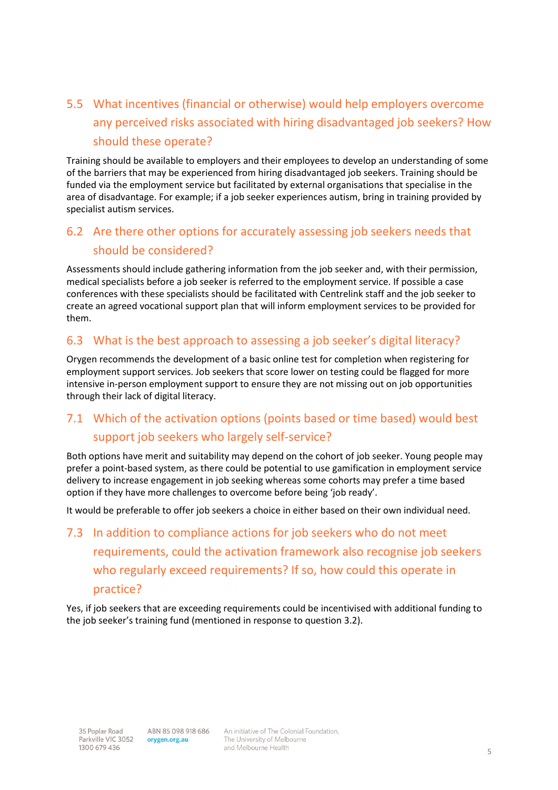# 5.5 What incentives (financial or otherwise) would help employers overcome any perceived risks associated with hiring disadvantaged job seekers? How should these operate?

Training should be available to employers and their employees to develop an understanding of some of the barriers that may be experienced from hiring disadvantaged job seekers. Training should be funded via the employment service but facilitated by external organisations that specialise in the area of disadvantage. For example; if a job seeker experiences autism, bring in training provided by specialist autism services.

### 6.2 Are there other options for accurately assessing job seekers needs that should be considered?

Assessments should include gathering information from the job seeker and, with their permission, medical specialists before a job seeker is referred to the employment service. If possible a case conferences with these specialists should be facilitated with Centrelink staff and the job seeker to create an agreed vocational support plan that will inform employment services to be provided for them.

#### 6.3 What is the best approach to assessing a job seeker's digital literacy?

Orygen recommends the development of a basic online test for completion when registering for employment support services. Job seekers that score lower on testing could be flagged for more intensive in-person employment support to ensure they are not missing out on job opportunities through their lack of digital literacy.

#### 7.1 Which of the activation options (points based or time based) would best support job seekers who largely self-service?

Both options have merit and suitability may depend on the cohort of job seeker. Young people may prefer a point-based system, as there could be potential to use gamification in employment service delivery to increase engagement in job seeking whereas some cohorts may prefer a time based option if they have more challenges to overcome before being 'job ready'.

It would be preferable to offer job seekers a choice in either based on their own individual need.

# 7.3 In addition to compliance actions for job seekers who do not meet requirements, could the activation framework also recognise job seekers who regularly exceed requirements? If so, how could this operate in practice?

Yes, if job seekers that are exceeding requirements could be incentivised with additional funding to the job seeker's training fund (mentioned in response to question 3.2).

An initiative of The Colonial Foundation, The University of Melbourne and Melbourne Health